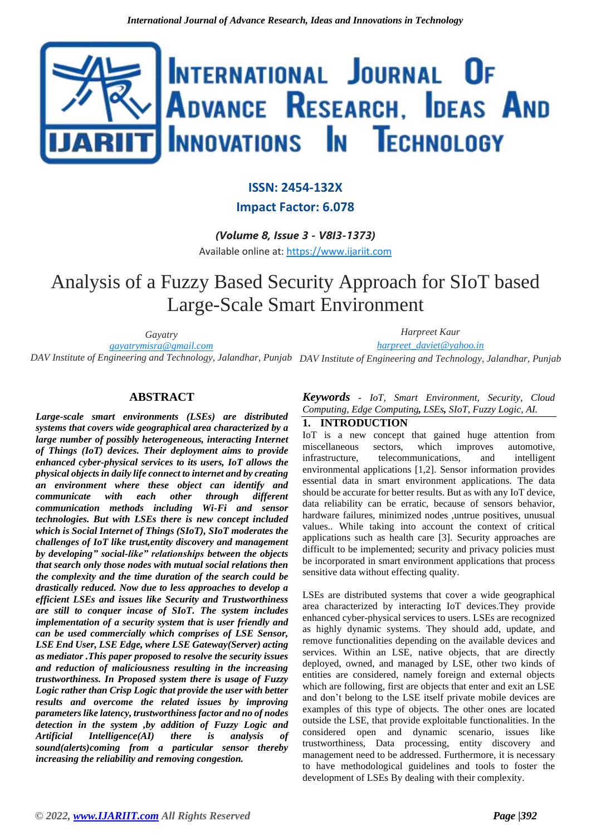

## **ISSN: 2454-132X**

### **Impact Factor: 6.078**

*(Volume 8, Issue 3 - V8I3-1373)* Available online at: [https://www.ijariit.com](https://www.ijariit.com/?utm_source=pdf&utm_medium=edition&utm_campaign=OmAkSols&utm_term=V8I3-1373)

# Analysis of a Fuzzy Based Security Approach for SIoT based Large-Scale Smart Environment

*Gayatry [gayatrymisra@gmail.com](mailto:gayatrymisra@gmail.com) DAV Institute of Engineering and Technology, Jalandhar, Punjab DAV Institute of Engineering and Technology, Jalandhar, Punjab Harpreet Kaur [harpreet\\_daviet@yahoo.in](mailto:harpreet_daviet@yahoo.in)*

#### **ABSTRACT**

*Large-scale smart environments (LSEs) are distributed systems that covers wide geographical area characterized by a large number of possibly heterogeneous, interacting Internet of Things (IoT) devices. Their deployment aims to provide enhanced cyber-physical services to its users, IoT allows the physical objects in daily life connect to internet and by creating an environment where these object can identify and communicate with each other through different communication methods including Wi-Fi and sensor technologies. But with LSEs there is new concept included which is Social Internet of Things (SIoT), SIoT moderates the challenges of IoT like trust,entity discovery and management by developing" social-like" relationships between the objects that search only those nodes with mutual social relations then the complexity and the time duration of the search could be drastically reduced. Now due to less approaches to develop a efficient LSEs and issues like Security and Trustworthiness are still to conquer incase of SIoT. The system includes implementation of a security system that is user friendly and can be used commercially which comprises of LSE Sensor, LSE End User, LSE Edge, where LSE Gateway(Server) acting as mediator .This paper proposed to resolve the security issues and reduction of maliciousness resulting in the increasing trustworthiness. In Proposed system there is usage of Fuzzy Logic rather than Crisp Logic that provide the user with better results and overcome the related issues by improving parameters like latency, trustworthiness factor and no of nodes detection in the system ,by addition of Fuzzy Logic and Artificial Intelligence(AI) there is analysis of sound(alerts)coming from a particular sensor thereby increasing the reliability and removing congestion.* 

*Keywords* - *IoT, Smart Environment, Security, Cloud Computing, Edge Computing, LSEs, SIoT, Fuzzy Logic, AI.*

#### **1. INTRODUCTION**

IoT is a new concept that gained huge attention from miscellaneous sectors, which improves automotive, infrastructure, telecommunications, and intelligent environmental applications [1,2]. Sensor information provides essential data in smart environment applications. The data should be accurate for better results. But as with any IoT device, data reliability can be erratic, because of sensors behavior, hardware failures, minimized nodes ,untrue positives, unusual values.. While taking into account the context of critical applications such as health care [3]. Security approaches are difficult to be implemented; security and privacy policies must be incorporated in smart environment applications that process sensitive data without effecting quality.

LSEs are distributed systems that cover a wide geographical area characterized by interacting IoT devices.They provide enhanced cyber-physical services to users. LSEs are recognized as highly dynamic systems. They should add, update, and remove functionalities depending on the available devices and services. Within an LSE, native objects, that are directly deployed, owned, and managed by LSE, other two kinds of entities are considered, namely foreign and external objects which are following, first are objects that enter and exit an LSE and don't belong to the LSE itself private mobile devices are examples of this type of objects. The other ones are located outside the LSE, that provide exploitable functionalities. In the considered open and dynamic scenario, issues like trustworthiness, Data processing, entity discovery and management need to be addressed. Furthermore, it is necessary to have methodological guidelines and tools to foster the development of LSEs By dealing with their complexity.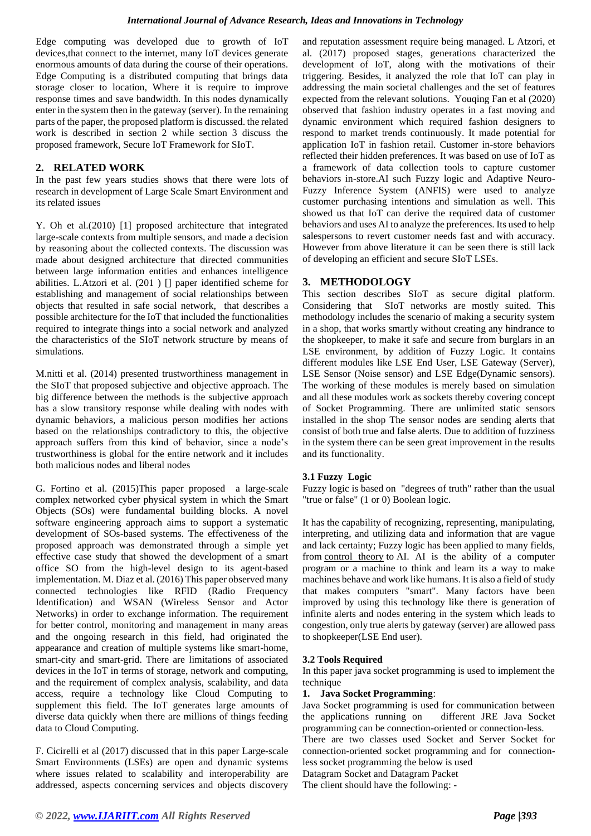Edge computing was developed due to growth of IoT devices,that connect to the internet, many IoT devices generate enormous amounts of data during the course of their operations. Edge Computing is a distributed computing that brings data storage closer to location, Where it is require to improve response times and save bandwidth. In this nodes dynamically enter in the system then in the gateway (server). In the remaining parts of the paper, the proposed platform is discussed. the related work is described in section 2 while section 3 discuss the proposed framework, Secure IoT Framework for SIoT.

#### **2. RELATED WORK**

In the past few years studies shows that there were lots of research in development of Large Scale Smart Environment and its related issues

Y. Oh et al.(2010) [1] proposed architecture that integrated large-scale contexts from multiple sensors, and made a decision by reasoning about the collected contexts. The discussion was made about designed architecture that directed communities between large information entities and enhances intelligence abilities. L.Atzori et al. (201 ) [] paper identified scheme for establishing and management of social relationships between objects that resulted in safe social network, that describes a possible architecture for the IoT that included the functionalities required to integrate things into a social network and analyzed the characteristics of the SIoT network structure by means of simulations.

M.nitti et al. (2014) presented trustworthiness management in the SIoT that proposed subjective and objective approach. The big difference between the methods is the subjective approach has a slow transitory response while dealing with nodes with dynamic behaviors, a malicious person modifies her actions based on the relationships contradictory to this, the objective approach suffers from this kind of behavior, since a node's trustworthiness is global for the entire network and it includes both malicious nodes and liberal nodes

G. Fortino et al. (2015)This paper proposed a large-scale complex networked cyber physical system in which the Smart Objects (SOs) were fundamental building blocks. A novel software engineering approach aims to support a systematic development of SOs-based systems. The effectiveness of the proposed approach was demonstrated through a simple yet effective case study that showed the development of a smart office SO from the high-level design to its agent-based implementation. M. Diaz et al. (2016) This paper observed many connected technologies like RFID (Radio Frequency Identification) and WSAN (Wireless Sensor and Actor Networks) in order to exchange information. The requirement for better control, monitoring and management in many areas and the ongoing research in this field, had originated the appearance and creation of multiple systems like smart-home, smart-city and smart-grid. There are limitations of associated devices in the IoT in terms of storage, network and computing, and the requirement of complex analysis, scalability, and data access, require a technology like Cloud Computing to supplement this field. The IoT generates large amounts of diverse data quickly when there are millions of things feeding data to Cloud Computing.

F. Cicirelli et al (2017) discussed that in this paper Large-scale Smart Environments (LSEs) are open and dynamic systems where issues related to scalability and interoperability are addressed, aspects concerning services and objects discovery and reputation assessment require being managed. L Atzori, et al. (2017) proposed stages, generations characterized the development of IoT, along with the motivations of their triggering. Besides, it analyzed the role that IoT can play in addressing the main societal challenges and the set of features expected from the relevant solutions. Youqing Fan et al (2020) observed that fashion industry operates in a fast moving and dynamic environment which required fashion designers to respond to market trends continuously. It made potential for application IoT in fashion retail. Customer in-store behaviors reflected their hidden preferences. It was based on use of IoT as a framework of data collection tools to capture customer behaviors in-store.AI such Fuzzy logic and Adaptive Neuro-Fuzzy Inference System (ANFIS) were used to analyze customer purchasing intentions and simulation as well. This showed us that IoT can derive the required data of customer behaviors and uses AI to analyze the preferences. Its used to help salespersons to revert customer needs fast and with accuracy. However from above literature it can be seen there is still lack of developing an efficient and secure SIoT LSEs.

#### **3. METHODOLOGY**

This section describes SIoT as secure digital platform. Considering that SIoT networks are mostly suited. This methodology includes the scenario of making a security system in a shop, that works smartly without creating any hindrance to the shopkeeper, to make it safe and secure from burglars in an LSE environment, by addition of Fuzzy Logic. It contains different modules like LSE End User, LSE Gateway (Server), LSE Sensor (Noise sensor) and LSE Edge(Dynamic sensors). The working of these modules is merely based on simulation and all these modules work as sockets thereby covering concept of Socket Programming. There are unlimited static sensors installed in the shop The sensor nodes are sending alerts that consist of both true and false alerts. Due to addition of fuzziness in the system there can be seen great improvement in the results and its functionality.

#### **3.1 Fuzzy Logic**

Fuzzy logic is based on "degrees of truth" rather than the usual "true or false" (1 or 0) Boolean logic.

It has the capability of recognizing, representing, manipulating, interpreting, and utilizing data and information that are vague and lack certainty; Fuzzy logic has been applied to many fields, from [control theory](https://en.wikipedia.org/wiki/Control_theory) to AI. AI is the ability of a computer program or a machine to think and learn its a way to make machines behave and work like humans. It is also a field of study that makes computers "smart". Many factors have been improved by using this technology like there is generation of infinite alerts and nodes entering in the system which leads to congestion, only true alerts by gateway (server) are allowed pass to shopkeeper(LSE End user).

#### **3.2 Tools Required**

In this paper java socket programming is used to implement the technique

#### **1. Java Socket Programming**:

Java Socket programming is used for communication between the applications running on different JRE Java Socket programming can be connection-oriented or connection-less.

There are two classes used Socket and Server Socket for connection-oriented socket programming and for connectionless socket programming the below is used

Datagram Socket and Datagram Packet

The client should have the following: -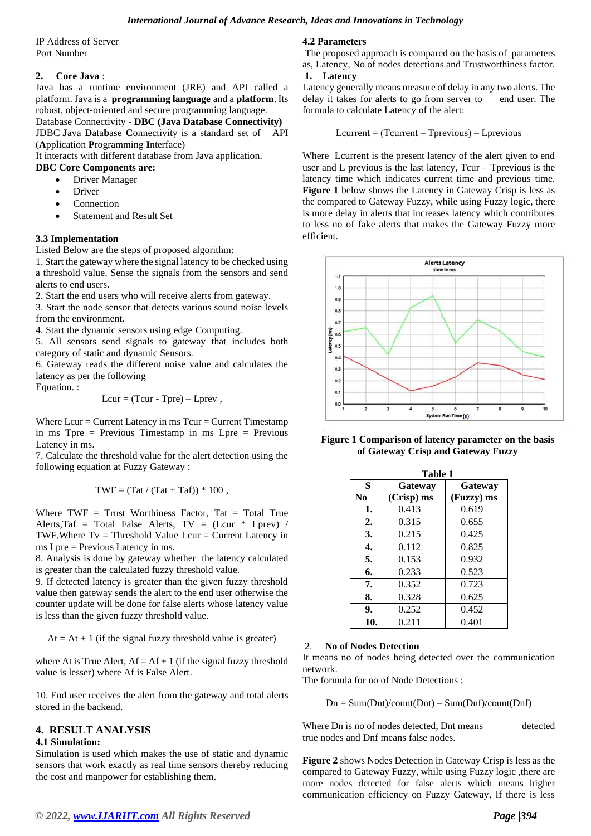IP Address of Server Port Number

#### **2. Core Java** :

Java has a runtime environment (JRE) and API called a platform. Java is a **programming language** and a **platform**. Its robust, object-oriented and secure programming language. Database Connectivity - **DBC (Java Database Connectivity)** JDBC **J**ava **D**ata**b**ase **C**onnectivity is a standard set of API (**A**pplication **P**rogramming **I**nterface)

It interacts with different database from Java application.

#### **DBC Core Components are:**

- Driver Manager
- Driver
- **Connection**
- Statement and Result Set

#### **3.3 Implementation**

Listed Below are the steps of proposed algorithm:

1. Start the gateway where the signal latency to be checked using a threshold value. Sense the signals from the sensors and send alerts to end users.

2. Start the end users who will receive alerts from gateway.

3. Start the node sensor that detects various sound noise levels from the environment.

4. Start the dynamic sensors using edge Computing.

5. All sensors send signals to gateway that includes both category of static and dynamic Sensors.

6. Gateway reads the different noise value and calculates the latency as per the following

Equation. :

$$
Lcur = (Tcur - Tpre) - Lprev,
$$

Where  $Lcur = Current$  Latency in ms  $Tcur = Current$  Timestamp in ms Tpre = Previous Timestamp in ms Lpre = Previous Latency in ms.

7. Calculate the threshold value for the alert detection using the following equation at Fuzzy Gateway :

$$
TWF = (Tat / (Tat + Taf)) * 100 ,
$$

Where  $TWF = Trust$  Worthiness Factor, Tat = Total True Alerts, Taf = Total False Alerts,  $TV = (Lcur * Lprev)$  / TWF, Where  $Tv = Threshold Value Lcur = Current Latency in$ ms Lpre = Previous Latency in ms.

8. Analysis is done by gateway whether the latency calculated is greater than the calculated fuzzy threshold value.

9. If detected latency is greater than the given fuzzy threshold value then gateway sends the alert to the end user otherwise the counter update will be done for false alerts whose latency value is less than the given fuzzy threshold value.

 $At = At + 1$  (if the signal fuzzy threshold value is greater)

where At is True Alert,  $Af = Af + 1$  (if the signal fuzzy threshold value is lesser) where Af is False Alert.

10. End user receives the alert from the gateway and total alerts stored in the backend.

#### **4. RESULT ANALYSIS**

#### **4.1 Simulation:**

Simulation is used which makes the use of static and dynamic sensors that work exactly as real time sensors thereby reducing the cost and manpower for establishing them.

#### **4.2 Parameters**

The proposed approach is compared on the basis of parameters as, Latency, No of nodes detections and Trustworthiness factor. **1. Latency**

Latency generally means measure of delay in any two alerts. The delay it takes for alerts to go from server to end user. The formula to calculate Latency of the alert:

#### $Lcurrent = (Tcurrent - Tprevious) - Lprevious$

Where Lcurrent is the present latency of the alert given to end user and L previous is the last latency, Tcur – Tprevious is the latency time which indicates current time and previous time. **Figure 1** below shows the Latency in Gateway Crisp is less as the compared to Gateway Fuzzy, while using Fuzzy logic, there is more delay in alerts that increases latency which contributes to less no of fake alerts that makes the Gateway Fuzzy more efficient.



**Figure 1 Comparison of latency parameter on the basis of Gateway Crisp and Gateway Fuzzy**

|                  | Table 1    |            |  |
|------------------|------------|------------|--|
| S                | Gateway    | Gateway    |  |
| No.              | (Crisp) ms | (Fuzzy) ms |  |
| 1.               | 0.413      | 0.619      |  |
| 2.               | 0.315      | 0.655      |  |
| 3.               | 0.215      | 0.425      |  |
| $\overline{4}$ . | 0.112      | 0.825      |  |
| 5.               | 0.153      | 0.932      |  |
| 6.               | 0.233      | 0.523      |  |
| 7.               | 0.352      | 0.723      |  |
| 8.               | 0.328      | 0.625      |  |
| 9.               | 0.252      | 0.452      |  |
| 10.              | 0.211      | 0.401      |  |

#### 2. **No of Nodes Detection**

It means no of nodes being detected over the communication network.

The formula for no of Node Detections :

 $Dn = Sum(Dnt)/count(Dnt) - Sum(Dnf)/count(Dnf)$ 

Where Dn is no of nodes detected, Dnt means detected true nodes and Dnf means false nodes.

**Figure 2** shows Nodes Detection in Gateway Crisp is less as the compared to Gateway Fuzzy, while using Fuzzy logic ,there are more nodes detected for false alerts which means higher communication efficiency on Fuzzy Gateway, If there is less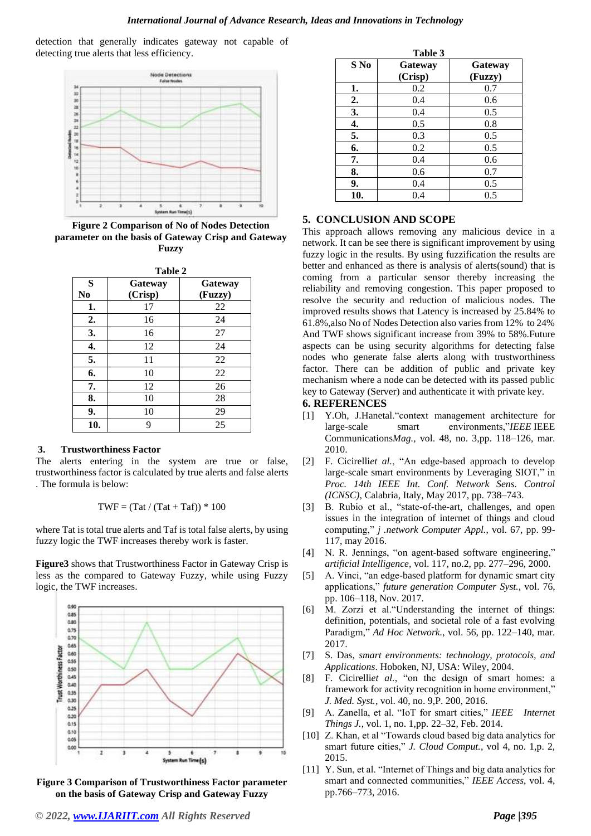detection that generally indicates gateway not capable of detecting true alerts that less efficiency.



**Figure 2 Comparison of No of Nodes Detection parameter on the basis of Gateway Crisp and Gateway Fuzzy**

| Table 2             |                    |                    |  |
|---------------------|--------------------|--------------------|--|
| S<br>N <sub>0</sub> | Gateway<br>(Crisp) | Gateway<br>(Fuzzy) |  |
| 1.                  | 17                 | 22                 |  |
| 2.                  | 16                 | 24                 |  |
| 3.                  | 16                 | 27                 |  |
| 4.                  | 12                 | 24                 |  |
| 5.                  | 11                 | 22                 |  |
| 6.                  | 10                 | 22                 |  |
| 7.                  | 12                 | 26                 |  |
| 8.                  | 10                 | 28                 |  |
| 9.                  | 10                 | 29                 |  |
| 10.                 | 9                  | 25                 |  |

#### **3. Trustworthiness Factor**

The alerts entering in the system are true or false, trustworthiness factor is calculated by true alerts and false alerts . The formula is below:

$$
TWF = (Tat / (Tat + Taf)) * 100
$$

where Tat is total true alerts and Taf is total false alerts, by using fuzzy logic the TWF increases thereby work is faster.

**Figure3** shows that Trustworthiness Factor in Gateway Crisp is less as the compared to Gateway Fuzzy, while using Fuzzy logic, the TWF increases.



**Figure 3 Comparison of Trustworthiness Factor parameter on the basis of Gateway Crisp and Gateway Fuzzy**

| Table 3 |                    |                    |  |  |
|---------|--------------------|--------------------|--|--|
| S No    | Gateway<br>(Crisp) | Gateway<br>(Fuzzy) |  |  |
| 1.      | 0.2                | 0.7                |  |  |
| 2.      | 0.4                | 0.6                |  |  |
| 3.      | 0.4                | 0.5                |  |  |
| 4.      | 0.5                | 0.8                |  |  |
| 5.      | 0.3                | 0.5                |  |  |
| 6.      | 0.2                | 0.5                |  |  |
| 7.      | 0.4                | 0.6                |  |  |
| 8.      | 0.6                | 0.7                |  |  |
| 9.      | 0.4                | 0.5                |  |  |
| 10.     | 0.4                | 0.5                |  |  |

#### **5. CONCLUSION AND SCOPE**

This approach allows removing any malicious device in a network. It can be see there is significant improvement by using fuzzy logic in the results. By using fuzzification the results are better and enhanced as there is analysis of alerts(sound) that is coming from a particular sensor thereby increasing the reliability and removing congestion. This paper proposed to resolve the security and reduction of malicious nodes. The improved results shows that Latency is increased by 25.84% to 61.8%,also No of Nodes Detection also varies from 12% to 24% And TWF shows significant increase from 39% to 58%.Future aspects can be using security algorithms for detecting false nodes who generate false alerts along with trustworthiness factor. There can be addition of public and private key mechanism where a node can be detected with its passed public key to Gateway (Server) and authenticate it with private key.

#### **6. REFERENCES**

- [1] Y.Oh, J.Hanetal."context management architecture for large-scale smart environments,"*IEEE* IEEE Communications*Mag.*, vol. 48, no. 3,pp. 118–126, mar. 2010.
- [2] F. Cicirelli*et al.*, "An edge-based approach to develop large-scale smart environments by Leveraging SIOT," in *Proc. 14th IEEE Int. Conf. Network Sens. Control (ICNSC)*, Calabria, Italy, May 2017, pp. 738–743.
- [3] B. Rubio et al., "state-of-the-art, challenges, and open issues in the integration of internet of things and cloud computing," *j .network Computer Appl.*, vol. 67, pp. 99- 117, may 2016.
- [4] N. R. Jennings, "on agent-based software engineering," *artificial Intelligence,* vol. 117, no.2, pp. 277–296, 2000.
- [5] A. Vinci, "an edge-based platform for dynamic smart city applications," *future generation Computer Syst.*, vol. 76, pp. 106–118, Nov. 2017.
- [6] M. Zorzi et al."Understanding the internet of things: definition, potentials, and societal role of a fast evolving Paradigm," *Ad Hoc Network.*, vol. 56, pp. 122–140, mar. 2017.
- [7] S. Das, *smart environments: technology, protocols, and Applications*. Hoboken, NJ, USA: Wiley, 2004.
- [8] F. Cicirelli*et al.*, "on the design of smart homes: a framework for activity recognition in home environment," *J. Med. Syst.*, vol. 40, no. 9,P. 200, 2016.
- [9] A. Zanella, et al. "IoT for smart cities," *IEEE Internet Things J.*, vol. 1, no. 1,pp. 22–32, Feb. 2014.
- [10] Z. Khan, et al "Towards cloud based big data analytics for smart future cities," *J. Cloud Comput.*, vol 4, no. 1,p. 2, 2015.
- [11] Y. Sun, et al. "Internet of Things and big data analytics for smart and connected communities," *IEEE Access*, vol. 4, pp.766–773, 2016.